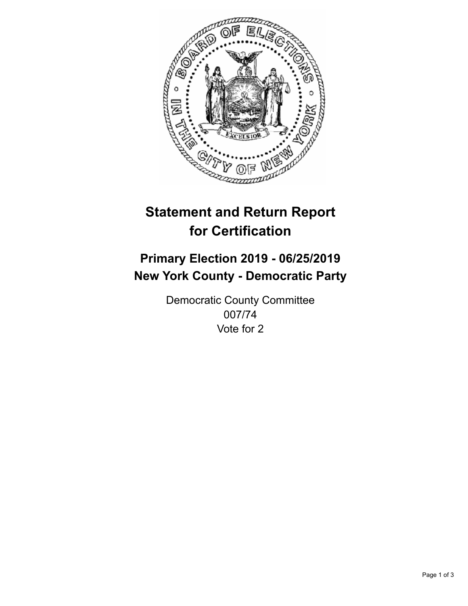

## **Statement and Return Report for Certification**

## **Primary Election 2019 - 06/25/2019 New York County - Democratic Party**

Democratic County Committee 007/74 Vote for 2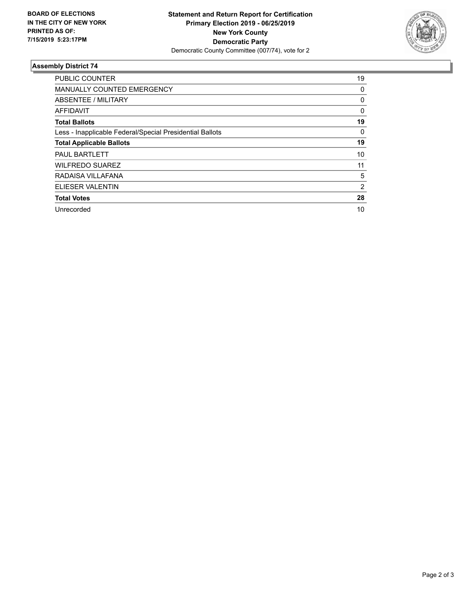

## **Assembly District 74**

| <b>PUBLIC COUNTER</b>                                    | 19       |
|----------------------------------------------------------|----------|
| <b>MANUALLY COUNTED EMERGENCY</b>                        | 0        |
| ABSENTEE / MILITARY                                      | 0        |
| AFFIDAVIT                                                | $\Omega$ |
| <b>Total Ballots</b>                                     | 19       |
| Less - Inapplicable Federal/Special Presidential Ballots | 0        |
| <b>Total Applicable Ballots</b>                          | 19       |
| <b>PAUL BARTLETT</b>                                     | 10       |
| <b>WILFREDO SUAREZ</b>                                   | 11       |
| RADAISA VILLAFANA                                        | 5        |
| ELIESER VALENTIN                                         | 2        |
| <b>Total Votes</b>                                       | 28       |
| Unrecorded                                               | 10       |